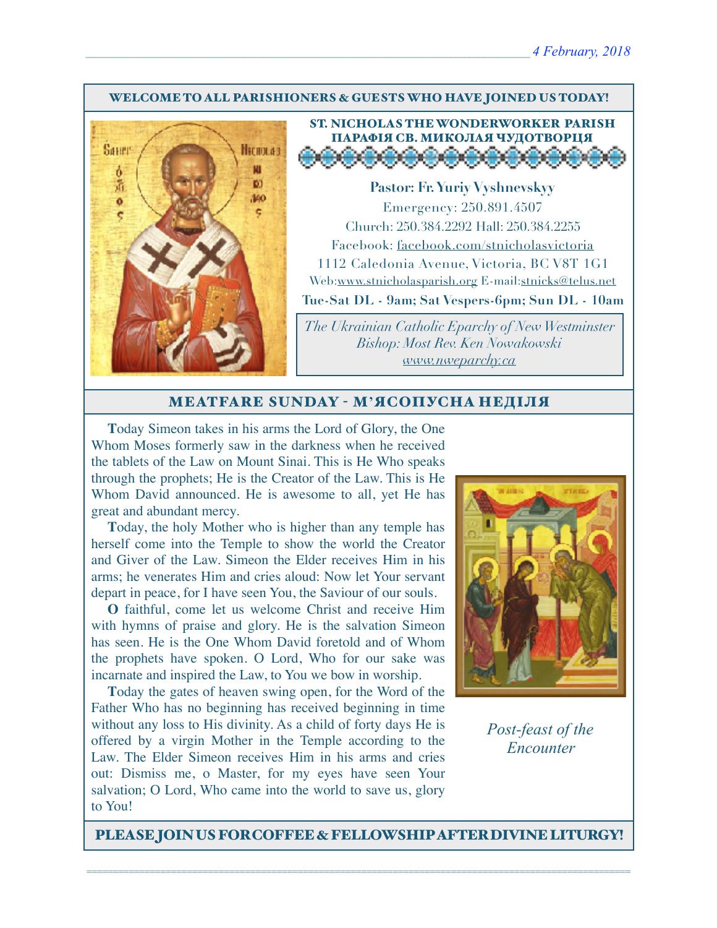#### WELCOME TO ALL PARISHIONERS & GUESTS WHO HAVE JOINED US TODAY!



# ST. NICHOLAS THE WONDERWORKER PARISH ПАРАФІЯ СВ. МИКОЛАЯ ЧУДОТВОРЦЯ

**Pastor: Fr. Yuriy Vyshnevskyy** Emergency: 250.891.4507 Church: 250.384.2292 Hall: 250.384.2255 Facebook: facebook.com/stnicholasvictoria 1112 Caledonia Avenue, Victoria, BC V8T 1G1 Web[:www.stnicholasparish.org](http://www.stnicholasparish.org) E-mail:[stnicks@telus.net](mailto:stnicks@telus.net) **Tue-Sat DL - 9am; Sat Vespers-6pm; Sun DL - 10am**

*The Ukrainian Catholic Eparchy of New Westminster Bishop: Most Rev. Ken Nowakowski [www.nweparchy.ca](http://www.nweparchy.ca)*

#### MEATFARE SUNDAY - М**'**ЯСОПУСНА НЕДІЛЯ

**T**oday Simeon takes in his arms the Lord of Glory, the One Whom Moses formerly saw in the darkness when he received the tablets of the Law on Mount Sinai. This is He Who speaks through the prophets; He is the Creator of the Law. This is He Whom David announced. He is awesome to all, yet He has great and abundant mercy.

**T**oday, the holy Mother who is higher than any temple has herself come into the Temple to show the world the Creator and Giver of the Law. Simeon the Elder receives Him in his arms; he venerates Him and cries aloud: Now let Your servant depart in peace, for I have seen You, the Saviour of our souls.

**O** faithful, come let us welcome Christ and receive Him with hymns of praise and glory. He is the salvation Simeon has seen. He is the One Whom David foretold and of Whom the prophets have spoken. O Lord, Who for our sake was incarnate and inspired the Law, to You we bow in worship.

**T**oday the gates of heaven swing open, for the Word of the Father Who has no beginning has received beginning in time without any loss to His divinity. As a child of forty days He is offered by a virgin Mother in the Temple according to the Law. The Elder Simeon receives Him in his arms and cries out: Dismiss me, o Master, for my eyes have seen Your salvation; O Lord, Who came into the world to save us, glory to You!



*Post-feast of the Encounter*

PLEASE JOIN US FOR COFFEE & FELLOWSHIP AFTER DIVINE LITURGY!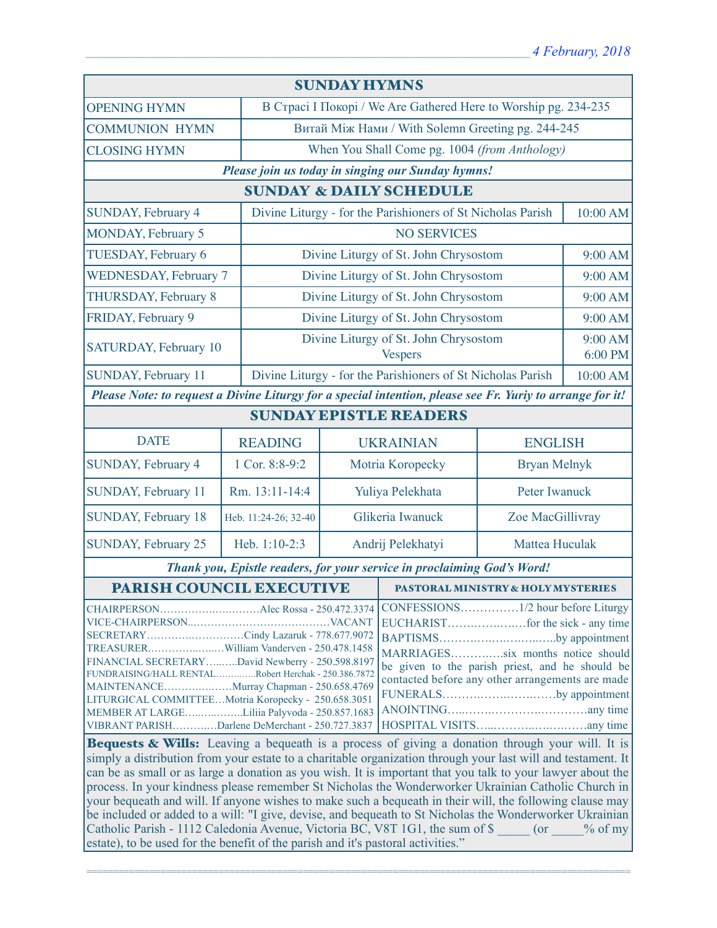| <b>SUNDAY HYMNS</b>                                                                                                                                                                                                                                                                                                                                                                                                                    |                      |                                                                         |                                                                                                                                                                                              |                                                         |         |  |  |
|----------------------------------------------------------------------------------------------------------------------------------------------------------------------------------------------------------------------------------------------------------------------------------------------------------------------------------------------------------------------------------------------------------------------------------------|----------------------|-------------------------------------------------------------------------|----------------------------------------------------------------------------------------------------------------------------------------------------------------------------------------------|---------------------------------------------------------|---------|--|--|
| <b>OPENING HYMN</b>                                                                                                                                                                                                                                                                                                                                                                                                                    |                      | В Страсі I Покорі / We Are Gathered Here to Worship pg. 234-235         |                                                                                                                                                                                              |                                                         |         |  |  |
| <b>COMMUNION HYMN</b>                                                                                                                                                                                                                                                                                                                                                                                                                  |                      | Витай Між Нами / With Solemn Greeting pg. 244-245                       |                                                                                                                                                                                              |                                                         |         |  |  |
| <b>CLOSING HYMN</b>                                                                                                                                                                                                                                                                                                                                                                                                                    |                      | When You Shall Come pg. 1004 (from Anthology)                           |                                                                                                                                                                                              |                                                         |         |  |  |
| Please join us today in singing our Sunday hymns!                                                                                                                                                                                                                                                                                                                                                                                      |                      |                                                                         |                                                                                                                                                                                              |                                                         |         |  |  |
| <b>SUNDAY &amp; DAILY SCHEDULE</b>                                                                                                                                                                                                                                                                                                                                                                                                     |                      |                                                                         |                                                                                                                                                                                              |                                                         |         |  |  |
| SUNDAY, February 4                                                                                                                                                                                                                                                                                                                                                                                                                     |                      | Divine Liturgy - for the Parishioners of St Nicholas Parish<br>10:00 AM |                                                                                                                                                                                              |                                                         |         |  |  |
| MONDAY, February 5                                                                                                                                                                                                                                                                                                                                                                                                                     |                      | <b>NO SERVICES</b>                                                      |                                                                                                                                                                                              |                                                         |         |  |  |
| TUESDAY, February 6                                                                                                                                                                                                                                                                                                                                                                                                                    |                      |                                                                         |                                                                                                                                                                                              | Divine Liturgy of St. John Chrysostom                   |         |  |  |
| <b>WEDNESDAY, February 7</b>                                                                                                                                                                                                                                                                                                                                                                                                           |                      | Divine Liturgy of St. John Chrysostom                                   |                                                                                                                                                                                              |                                                         | 9:00 AM |  |  |
| <b>THURSDAY, February 8</b>                                                                                                                                                                                                                                                                                                                                                                                                            |                      | Divine Liturgy of St. John Chrysostom                                   |                                                                                                                                                                                              |                                                         | 9:00 AM |  |  |
| FRIDAY, February 9                                                                                                                                                                                                                                                                                                                                                                                                                     |                      | Divine Liturgy of St. John Chrysostom                                   |                                                                                                                                                                                              |                                                         | 9:00 AM |  |  |
| SATURDAY, February 10                                                                                                                                                                                                                                                                                                                                                                                                                  |                      |                                                                         |                                                                                                                                                                                              | Divine Liturgy of St. John Chrysostom<br><b>Vespers</b> |         |  |  |
| SUNDAY, February 11                                                                                                                                                                                                                                                                                                                                                                                                                    |                      | Divine Liturgy - for the Parishioners of St Nicholas Parish             |                                                                                                                                                                                              | 10:00 AM                                                |         |  |  |
| Please Note: to request a Divine Liturgy for a special intention, please see Fr. Yuriy to arrange for it!                                                                                                                                                                                                                                                                                                                              |                      |                                                                         |                                                                                                                                                                                              |                                                         |         |  |  |
| <b>SUNDAY EPISTLE READERS</b>                                                                                                                                                                                                                                                                                                                                                                                                          |                      |                                                                         |                                                                                                                                                                                              |                                                         |         |  |  |
| <b>DATE</b>                                                                                                                                                                                                                                                                                                                                                                                                                            | <b>READING</b>       |                                                                         | <b>UKRAINIAN</b>                                                                                                                                                                             | <b>ENGLISH</b>                                          |         |  |  |
| SUNDAY, February 4                                                                                                                                                                                                                                                                                                                                                                                                                     | 1 Cor. 8:8-9:2       |                                                                         | Motria Koropecky                                                                                                                                                                             | <b>Bryan Melnyk</b>                                     |         |  |  |
| SUNDAY, February 11                                                                                                                                                                                                                                                                                                                                                                                                                    | Rm. 13:11-14:4       |                                                                         | Yuliya Pelekhata                                                                                                                                                                             | Peter Iwanuck                                           |         |  |  |
| SUNDAY, February 18                                                                                                                                                                                                                                                                                                                                                                                                                    | Heb. 11:24-26; 32-40 |                                                                         | Glikeria Iwanuck                                                                                                                                                                             | Zoe MacGillivray                                        |         |  |  |
| SUNDAY, February 25                                                                                                                                                                                                                                                                                                                                                                                                                    | Heb. 1:10-2:3        | Andrij Pelekhatyi<br>Mattea Huculak                                     |                                                                                                                                                                                              |                                                         |         |  |  |
| Thank you, Epistle readers, for your service in proclaiming God's Word!                                                                                                                                                                                                                                                                                                                                                                |                      |                                                                         |                                                                                                                                                                                              |                                                         |         |  |  |
| PARISH COUNCIL EXECUTIVE                                                                                                                                                                                                                                                                                                                                                                                                               |                      |                                                                         | <b>PASTORAL MINISTRY &amp; HOLY MYSTERIES</b>                                                                                                                                                |                                                         |         |  |  |
| SECRETARYCindy Lazaruk - 778.677.9072<br>FINANCIAL SECRETARYDavid Newberry - 250.598.8197<br>FUNDRAISING/HALL RENTALRobert Herchak - 250.386.7872<br>MAINTENANCEMurray Chapman - 250.658.4769<br>LITURGICAL COMMITTEEMotria Koropecky - 250.658.3051<br>MEMBER AT LARGELiliia Palyvoda - 250.857.1683<br>VIBRANT PARISHDarlene DeMerchant - 250.727.3837<br>$R_{\text{c}}$ and $R_{\text{c}}$ W/H <sub>2</sub> . I contra a homical is |                      |                                                                         | BAPTISMSby appointment<br>MARRIAGESsix months notice should<br>be given to the parish priest, and he should be<br>contacted before any other arrangements are made<br>FUNERALSby appointment |                                                         |         |  |  |

**Bequests & Wills:** Leaving a bequeath is a process of giving a donation through your will. It is simply a distribution from your estate to a charitable organization through your last will and testament. It can be as small or as large a donation as you wish. It is important that you talk to your lawyer about the process. In your kindness please remember St Nicholas the Wonderworker Ukrainian Catholic Church in your bequeath and will. If anyone wishes to make such a bequeath in their will, the following clause may be included or added to a will: "I give, devise, and bequeath to St Nicholas the Wonderworker Ukrainian Catholic Parish - 1112 Caledonia Avenue, Victoria BC, V8T 1G1, the sum of \$ \_\_\_\_\_ (or \_\_\_\_\_% of my estate), to be used for the benefit of the parish and it's pastoral activities."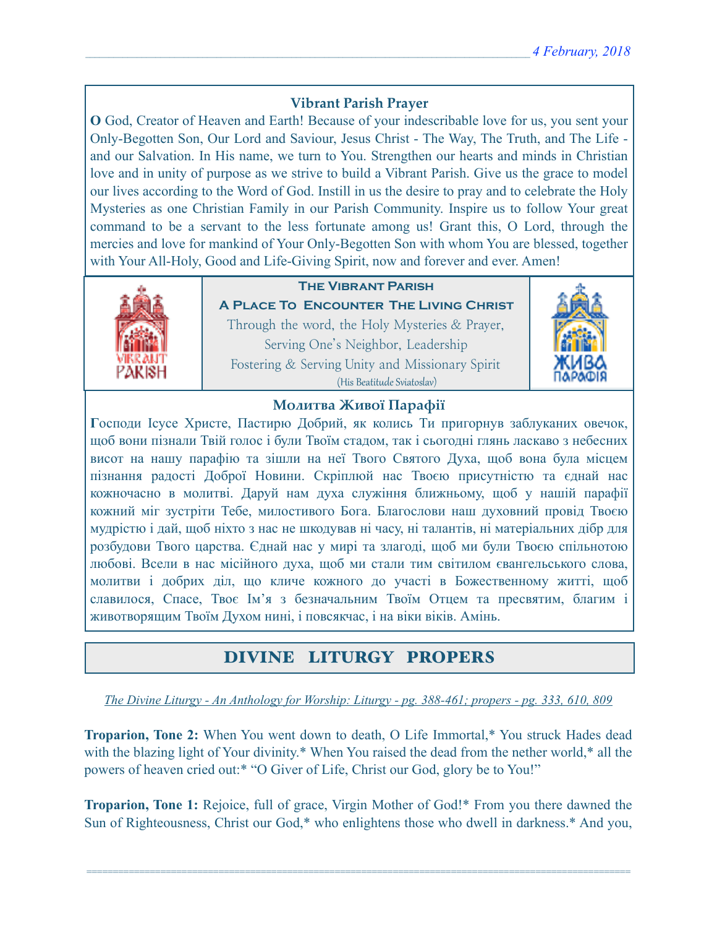### **Vibrant Parish Prayer**

**O** God, Creator of Heaven and Earth! Because of your indescribable love for us, you sent your Only-Begotten Son, Our Lord and Saviour, Jesus Christ - The Way, The Truth, and The Life and our Salvation. In His name, we turn to You. Strengthen our hearts and minds in Christian love and in unity of purpose as we strive to build a Vibrant Parish. Give us the grace to model our lives according to the Word of God. Instill in us the desire to pray and to celebrate the Holy Mysteries as one Christian Family in our Parish Community. Inspire us to follow Your great command to be a servant to the less fortunate among us! Grant this, O Lord, through the mercies and love for mankind of Your Only-Begotten Son with whom You are blessed, together with Your All-Holy, Good and Life-Giving Spirit, now and forever and ever. Amen!



## **The Vibrant Parish**

**A Place To Encounter The Living Christ** Through the word, the Holy Mysteries & Prayer, Serving One's Neighbor, Leadership Fostering & Serving Unity and Missionary Spirit (His Beatitude Sviatoslav)



#### **Молитва Живої Парафії**

**Г**осподи Ісусе Христе, Пастирю Добрий, як колись Ти пригорнув заблуканих овечок, щоб вони пізнали Твій голос і були Твоїм стадом, так і сьогодні глянь ласкаво з небесних висот на нашу парафію та зішли на неї Твого Святого Духа, щоб вона була місцем пізнання радості Доброї Новини. Скріплюй нас Твоєю присутністю та єднай нас кожночасно в молитві. Даруй нам духа служіння ближньому, щоб у нашій парафії кожний міг зустріти Тебе, милостивого Бога. Благослови наш духовний провід Твоєю мудрістю і дай, щоб ніхто з нас не шкодував ні часу, ні талантів, ні матеріальних дібр для розбудови Твого царства. Єднай нас у мирі та злагоді, щоб ми були Твоєю спільнотою любові. Всели в нас місійного духа, щоб ми стали тим світилом євангельського слова, молитви і добрих діл, що кличе кожного до участі в Божественному житті, щоб славилося, Спасе, Твоє Ім'я з безначальним Твоїм Отцем та пресвятим, благим і животворящим Твоїм Духом нині, і повсякчас, і на віки віків. Амінь.

# DIVINE LITURGY PROPERS

*The Divine Liturgy - An Anthology for Worship: Liturgy - pg. 388-461; propers - pg. 333, 610, 809* 

**Troparion, Tone 2:** When You went down to death, O Life Immortal,\* You struck Hades dead with the blazing light of Your divinity.\* When You raised the dead from the nether world,\* all the powers of heaven cried out:\* "O Giver of Life, Christ our God, glory be to You!"

**Troparion, Tone 1:** Rejoice, full of grace, Virgin Mother of God!\* From you there dawned the Sun of Righteousness, Christ our God,\* who enlightens those who dwell in darkness.\* And you,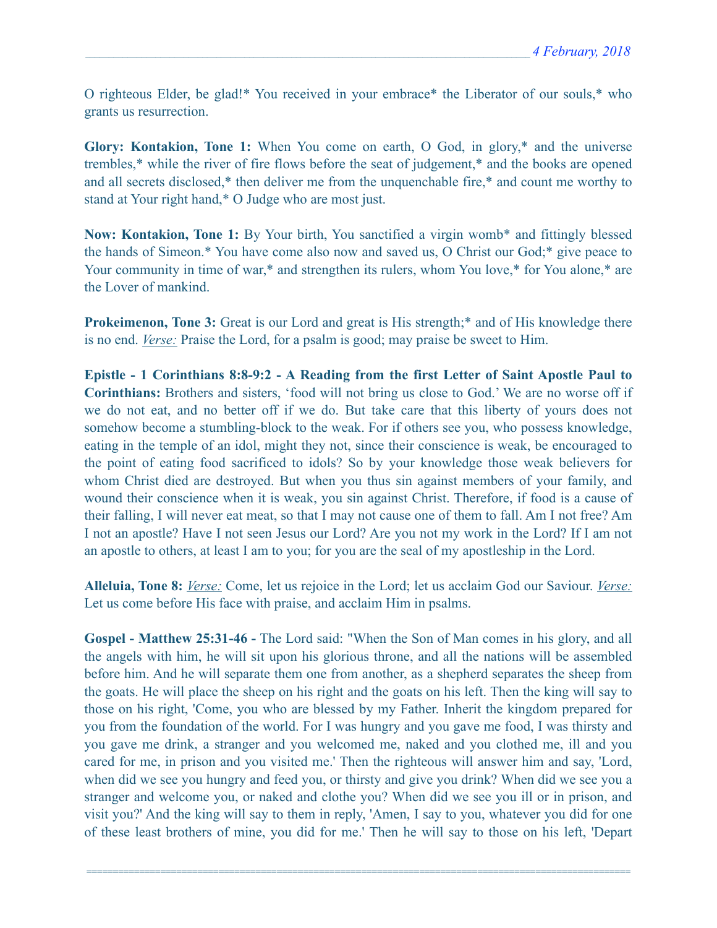O righteous Elder, be glad!\* You received in your embrace\* the Liberator of our souls,\* who grants us resurrection.

**Glory: Kontakion, Tone 1:** When You come on earth, O God, in glory,\* and the universe trembles,\* while the river of fire flows before the seat of judgement,\* and the books are opened and all secrets disclosed,\* then deliver me from the unquenchable fire,\* and count me worthy to stand at Your right hand,\* O Judge who are most just.

**Now: Kontakion, Tone 1:** By Your birth, You sanctified a virgin womb\* and fittingly blessed the hands of Simeon.\* You have come also now and saved us, O Christ our God;\* give peace to Your community in time of war,\* and strengthen its rulers, whom You love,\* for You alone,\* are the Lover of mankind.

**Prokeimenon, Tone 3:** Great is our Lord and great is His strength;<sup>\*</sup> and of His knowledge there is no end. *Verse:* Praise the Lord, for a psalm is good; may praise be sweet to Him.

**Epistle - 1 Corinthians 8:8-9:2 - A Reading from the first Letter of Saint Apostle Paul to Corinthians:** Brothers and sisters, 'food will not bring us close to God.' We are no worse off if we do not eat, and no better off if we do. But take care that this liberty of yours does not somehow become a stumbling-block to the weak. For if others see you, who possess knowledge, eating in the temple of an idol, might they not, since their conscience is weak, be encouraged to the point of eating food sacrificed to idols? So by your knowledge those weak believers for whom Christ died are destroyed. But when you thus sin against members of your family, and wound their conscience when it is weak, you sin against Christ. Therefore, if food is a cause of their falling, I will never eat meat, so that I may not cause one of them to fall. Am I not free? Am I not an apostle? Have I not seen Jesus our Lord? Are you not my work in the Lord? If I am not an apostle to others, at least I am to you; for you are the seal of my apostleship in the Lord.

**Alleluia, Tone 8:** *Verse:* Come, let us rejoice in the Lord; let us acclaim God our Saviour. *Verse:* Let us come before His face with praise, and acclaim Him in psalms.

**Gospel - Matthew 25:31-46 -** The Lord said: "When the Son of Man comes in his glory, and all the angels with him, he will sit upon his glorious throne, and all the nations will be assembled before him. And he will separate them one from another, as a shepherd separates the sheep from the goats. He will place the sheep on his right and the goats on his left. Then the king will say to those on his right, 'Come, you who are blessed by my Father. Inherit the kingdom prepared for you from the foundation of the world. For I was hungry and you gave me food, I was thirsty and you gave me drink, a stranger and you welcomed me, naked and you clothed me, ill and you cared for me, in prison and you visited me.' Then the righteous will answer him and say, 'Lord, when did we see you hungry and feed you, or thirsty and give you drink? When did we see you a stranger and welcome you, or naked and clothe you? When did we see you ill or in prison, and visit you?' And the king will say to them in reply, 'Amen, I say to you, whatever you did for one of these least brothers of mine, you did for me.' Then he will say to those on his left, 'Depart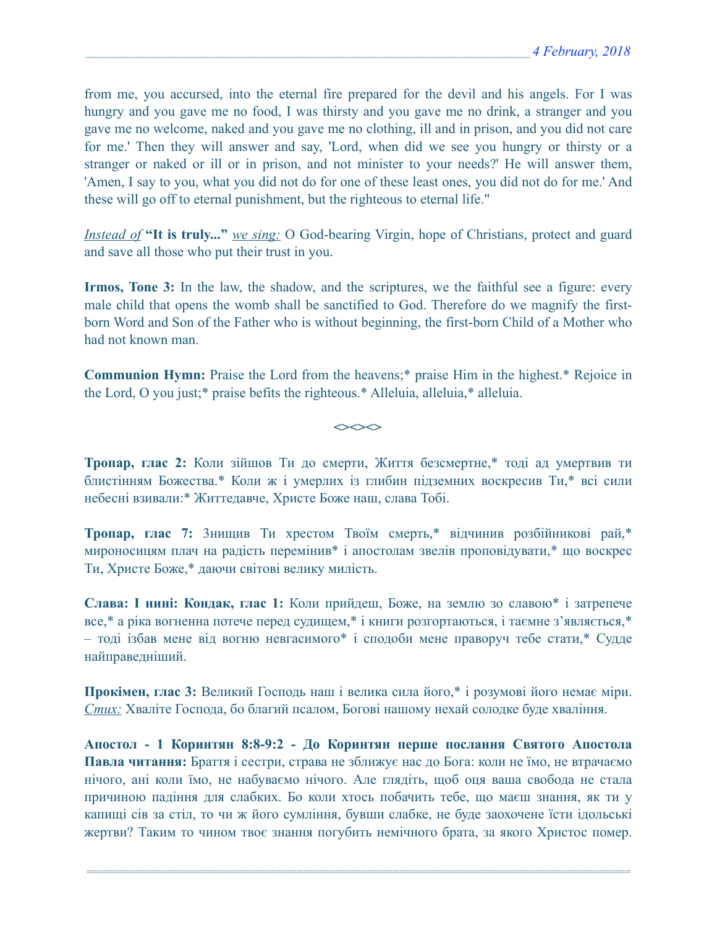from me, you accursed, into the eternal fire prepared for the devil and his angels. For I was hungry and you gave me no food, I was thirsty and you gave me no drink, a stranger and you gave me no welcome, naked and you gave me no clothing, ill and in prison, and you did not care for me.' Then they will answer and say, 'Lord, when did we see you hungry or thirsty or a stranger or naked or ill or in prison, and not minister to your needs?' He will answer them, 'Amen, I say to you, what you did not do for one of these least ones, you did not do for me.' And these will go off to eternal punishment, but the righteous to eternal life."

*Instead of* **"It is truly..."** *we sing:* O God-bearing Virgin, hope of Christians, protect and guard and save all those who put their trust in you.

**Irmos, Tone 3:** In the law, the shadow, and the scriptures, we the faithful see a figure: every male child that opens the womb shall be sanctified to God. Therefore do we magnify the firstborn Word and Son of the Father who is without beginning, the first-born Child of a Mother who had not known man.

**Communion Hymn:** Praise the Lord from the heavens;\* praise Him in the highest.\* Rejoice in the Lord, O you just;\* praise befits the righteous.\* Alleluia, alleluia,\* alleluia.

 $\iff$ 

**Тропар, глас 2:** Коли зійшов Ти до смерти, Життя безсмертне,\* тоді ад умертвив ти блистінням Божества.\* Коли ж і умерлих із глибин підземних воскресив Ти,\* всі сили небесні взивали:\* Життедавче, Христе Боже наш, слава Тобі.

**Тропар, глас 7:** 3нищив Ти хрестом Твоїм смерть,\* відчинив розбійникові рай,\* мироносицям плач на радість перемінив\* і апостолам звелів проповідувати,\* що воскрес Ти, Христе Боже,\* даючи світові велику милість.

**Слава: І нині: Кондак, глас 1:** Коли прийдеш, Боже, на землю зо славою\* і затрепече все,\* а ріка вогненна потече перед судищем,\* і книги розгортаються, і таємне з'являється,\* – тоді ізбав мене від вогню невгасимого\* і сподоби мене праворуч тебе стати,\* Судде найправедніший.

**Прокімен, глас 3:** Великий Господь наш і велика сила його,\* і розумові його немає міри. *Стих:* Хваліте Господа, бо благий псалом, Богові нашому нехай солодке буде хваління.

**Апостол - 1 Коринтян 8:8-9:2 - До Коринтян перше послання Святого Апостола Павла читання:** Браття і сестри, страва не зближує нас до Бога: коли не їмо, не втрачаємо нічого, ані коли їмо, не набуваємо нічого. Але глядіть, щоб оця ваша свобода не стала причиною падіння для слабких. Бо коли хтось побачить тебе, що маєш знання, як ти у капищі сів за стіл, то чи ж його сумління, бувши слабке, не буде заохочене їсти ідольські жертви? Таким то чином твоє знання погубить немічного брата, за якого Христос помер.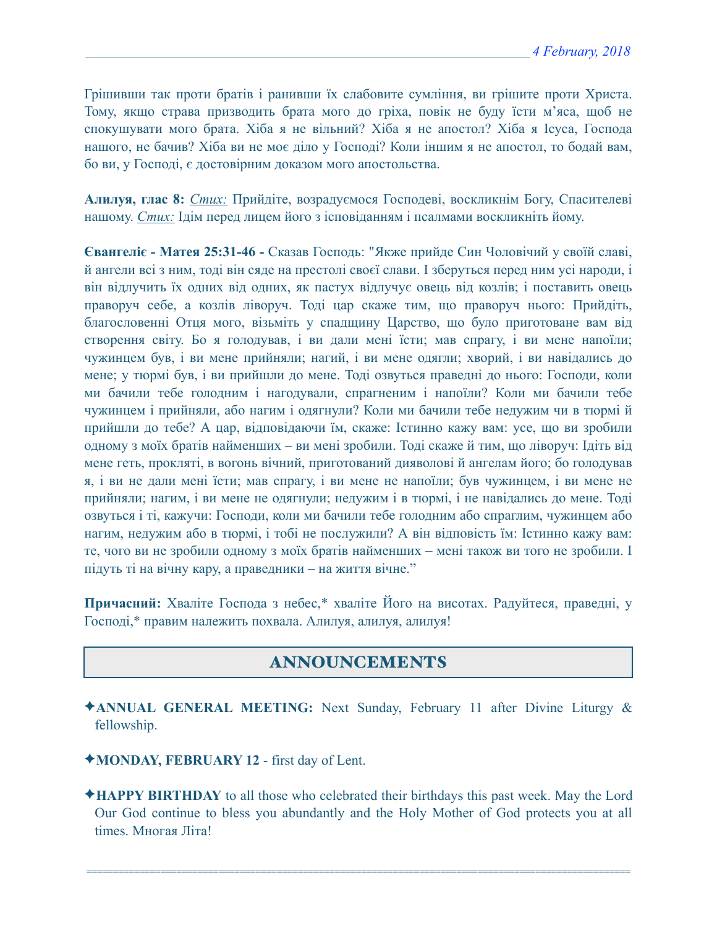Грішивши так проти братів і ранивши їх слабовите сумління, ви грішите проти Христа. Тому, якщо страва призводить брата мого до гріха, повік не буду їсти м'яса, щоб не спокушувати мого брата. Хіба я не вільний? Хіба я не апостол? Хіба я Ісуса, Господа нашого, не бачив? Хіба ви не моє діло у Господі? Коли іншим я не апостол, то бодай вам, бо ви, у Господі, є достовірним доказом мого апостольства.

**Алилуя, глас 8:** *Стих:* Прийдіте, возрадуємося Господеві, воскликнім Богу, Спасителеві нашому. *Стих:* Ідім перед лицем його з ісповіданням і псалмами воскликніть йому.

**Євангеліє - Матея 25:31-46 -** Сказав Господь: "Якже прийде Син Чоловічий у своїй славі, й ангели всі з ним, тоді він сяде на престолі своєї слави. І зберуться перед ним усі народи, і він відлучить їх одних від одних, як пастух відлучує овець від козлів; і поставить овець праворуч себе, а козлів ліворуч. Тоді цар скаже тим, що праворуч нього: Прийдіть, благословенні Отця мого, візьміть у спадщину Царство, що було приготоване вам від створення світу. Бо я голодував, і ви дали мені їсти; мав спрагу, і ви мене напоїли; чужинцем був, і ви мене прийняли; нагий, і ви мене одягли; хворий, і ви навідались до мене; у тюрмі був, і ви прийшли до мене. Тоді озвуться праведні до нього: Господи, коли ми бачили тебе голодним і нагодували, спрагненим і напоїли? Коли ми бачили тебе чужинцем і прийняли, або нагим і одягнули? Коли ми бачили тебе недужим чи в тюрмі й прийшли до тебе? А цар, відповідаючи їм, скаже: Істинно кажу вам: усе, що ви зробили одному з моїх братів найменших – ви мені зробили. Тоді скаже й тим, що ліворуч: Ідіть від мене геть, прокляті, в вогонь вічний, приготований дияволові й ангелам його; бо голодував я, і ви не дали мені їсти; мав спрагу, і ви мене не напоїли; був чужинцем, і ви мене не прийняли; нагим, і ви мене не одягнули; недужим і в тюрмі, і не навідались до мене. Тоді озвуться і ті, кажучи: Господи, коли ми бачили тебе голодним або спраглим, чужинцем або нагим, недужим або в тюрмі, і тобі не послужили? А він відповість їм: Істинно кажу вам: те, чого ви не зробили одному з моїх братів найменших – мені також ви того не зробили. І підуть ті на вічну кару, а праведники – на життя вічне."

**Причасний:** Хваліте Господа з небес,\* хваліте Його на висотах. Радуйтеся, праведні, у Господі,\* правим належить похвала. Алилуя, aлилуя, aлилуя!

# ANNOUNCEMENTS

- ✦**ANNUAL GENERAL MEETING:** Next Sunday, February 11 after Divine Liturgy & fellowship.
- ✦**MONDAY, FEBRUARY 12** first day of Lent.
- ✦**HAPPY BIRTHDAY** to all those who celebrated their birthdays this past week. May the Lord Our God continue to bless you abundantly and the Holy Mother of God protects you at all times. Многая Літа!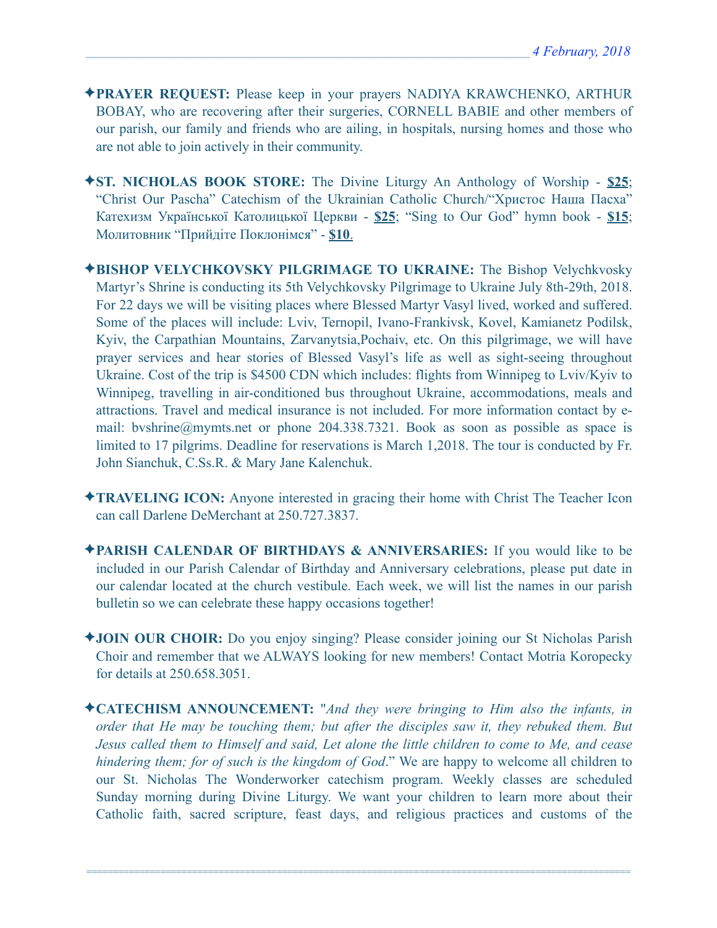- ✦**PRAYER REQUEST:** Please keep in your prayers NADIYA KRAWCHENKO, ARTHUR BOBAY, who are recovering after their surgeries, CORNELL BABIE and other members of our parish, our family and friends who are ailing, in hospitals, nursing homes and those who are not able to join actively in their community.
- ✦**ST. NICHOLAS BOOK STORE:** The Divine Liturgy An Anthology of Worship **\$25**; "Christ Our Pascha" Catechism of the Ukrainian Catholic Church/"Христос Наша Пасха" Катехизм Української Католицької Церкви - **\$25**; "Sing to Our God" hymn book - **\$15**; Молитовник "Прийдіте Поклонімся" - **\$10**.
- ✦**BISHOP VELYCHKOVSKY PILGRIMAGE TO UKRAINE:** The Bishop Velychkvosky Martyr's Shrine is conducting its 5th Velychkovsky Pilgrimage to Ukraine July 8th-29th, 2018. For 22 days we will be visiting places where Blessed Martyr Vasyl lived, worked and suffered. Some of the places will include: Lviv, Ternopil, Ivano-Frankivsk, Kovel, Kamianetz Podilsk, Kyiv, the Carpathian Mountains, Zarvanytsia,Pochaiv, etc. On this pilgrimage, we will have prayer services and hear stories of Blessed Vasyl's life as well as sight-seeing throughout Ukraine. Cost of the trip is \$4500 CDN which includes: flights from Winnipeg to Lviv/Kyiv to Winnipeg, travelling in air-conditioned bus throughout Ukraine, accommodations, meals and attractions. Travel and medical insurance is not included. For more information contact by email: [bvshrine@mymts.net](mailto:bvshrine@mymts.net) or phone 204.338.7321. Book as soon as possible as space is limited to 17 pilgrims. Deadline for reservations is March 1,2018. The tour is conducted by Fr. John Sianchuk, C.Ss.R. & Mary Jane Kalenchuk.
- ✦**TRAVELING ICON:** Anyone interested in gracing their home with Christ The Teacher Icon can call Darlene DeMerchant at 250.727.3837.
- ✦**PARISH CALENDAR OF BIRTHDAYS & ANNIVERSARIES:** If you would like to be included in our Parish Calendar of Birthday and Anniversary celebrations, please put date in our calendar located at the church vestibule. Each week, we will list the names in our parish bulletin so we can celebrate these happy occasions together!
- ✦**JOIN OUR CHOIR:** Do you enjoy singing? Please consider joining our St Nicholas Parish Choir and remember that we ALWAYS looking for new members! Contact Motria Koropecky for details at 250.658.3051.
- ✦**CATECHISM ANNOUNCEMENT:** "*And they were bringing to Him also the infants, in order that He may be touching them; but after the disciples saw it, they rebuked them. But Jesus called them to Himself and said, Let alone the little children to come to Me, and cease hindering them; for of such is the kingdom of God*." We are happy to welcome all children to our St. Nicholas The Wonderworker catechism program. Weekly classes are scheduled Sunday morning during Divine Liturgy. We want your children to learn more about their Catholic faith, sacred scripture, feast days, and religious practices and customs of the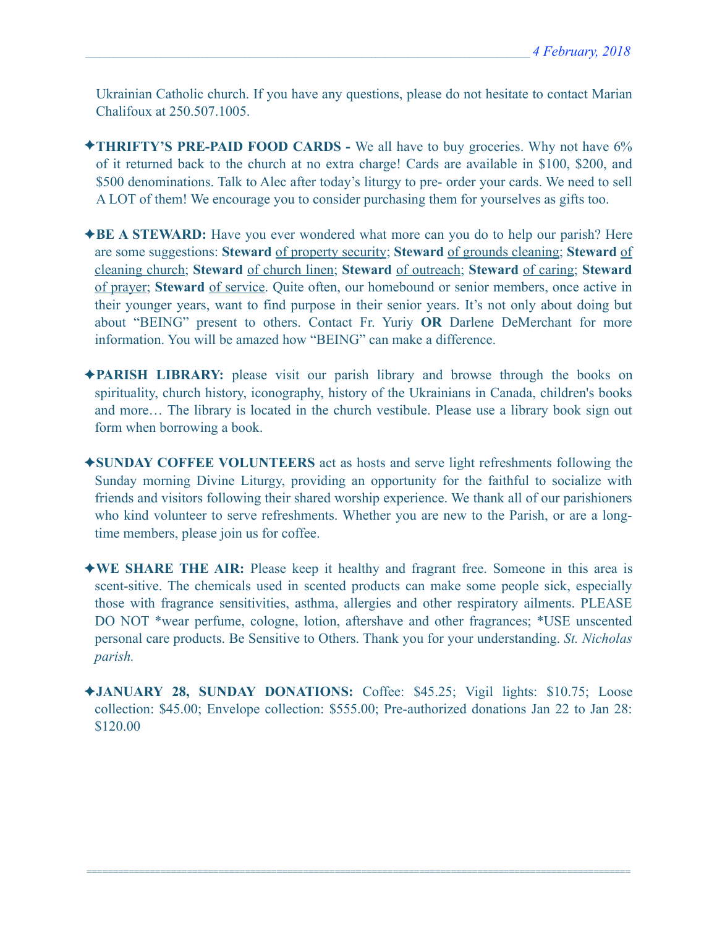Ukrainian Catholic church. If you have any questions, please do not hesitate to contact Marian Chalifoux at 250.507.1005.

- ✦**THRIFTY'S PRE-PAID FOOD CARDS** We all have to buy groceries. Why not have 6% of it returned back to the church at no extra charge! Cards are available in \$100, \$200, and \$500 denominations. Talk to Alec after today's liturgy to pre- order your cards. We need to sell A LOT of them! We encourage you to consider purchasing them for yourselves as gifts too.
- ✦**BE A STEWARD:** Have you ever wondered what more can you do to help our parish? Here are some suggestions: **Steward** of property security; **Steward** of grounds cleaning; **Steward** of cleaning church; **Steward** of church linen; **Steward** of outreach; **Steward** of caring; **Steward** of prayer; **Steward** of service. Quite often, our homebound or senior members, once active in their younger years, want to find purpose in their senior years. It's not only about doing but about "BEING" present to others. Contact Fr. Yuriy **OR** Darlene DeMerchant for more information. You will be amazed how "BEING" can make a difference.
- ✦**PARISH LIBRARY:** please visit our parish library and browse through the books on spirituality, church history, iconography, history of the Ukrainians in Canada, children's books and more… The library is located in the church vestibule. Please use a library book sign out form when borrowing a book.
- ✦**SUNDAY COFFEE VOLUNTEERS** act as hosts and serve light refreshments following the Sunday morning Divine Liturgy, providing an opportunity for the faithful to socialize with friends and visitors following their shared worship experience. We thank all of our parishioners who kind volunteer to serve refreshments. Whether you are new to the Parish, or are a longtime members, please join us for coffee.
- ✦**WE SHARE THE AIR:** Please keep it healthy and fragrant free. Someone in this area is scent-sitive. The chemicals used in scented products can make some people sick, especially those with fragrance sensitivities, asthma, allergies and other respiratory ailments. PLEASE DO NOT \*wear perfume, cologne, lotion, aftershave and other fragrances; \*USE unscented personal care products. Be Sensitive to Others. Thank you for your understanding. *St. Nicholas parish.*
- ✦**JANUARY 28, SUNDAY DONATIONS:** Coffee: \$45.25; Vigil lights: \$10.75; Loose collection: \$45.00; Envelope collection: \$555.00; Pre-authorized donations Jan 22 to Jan 28: \$120.00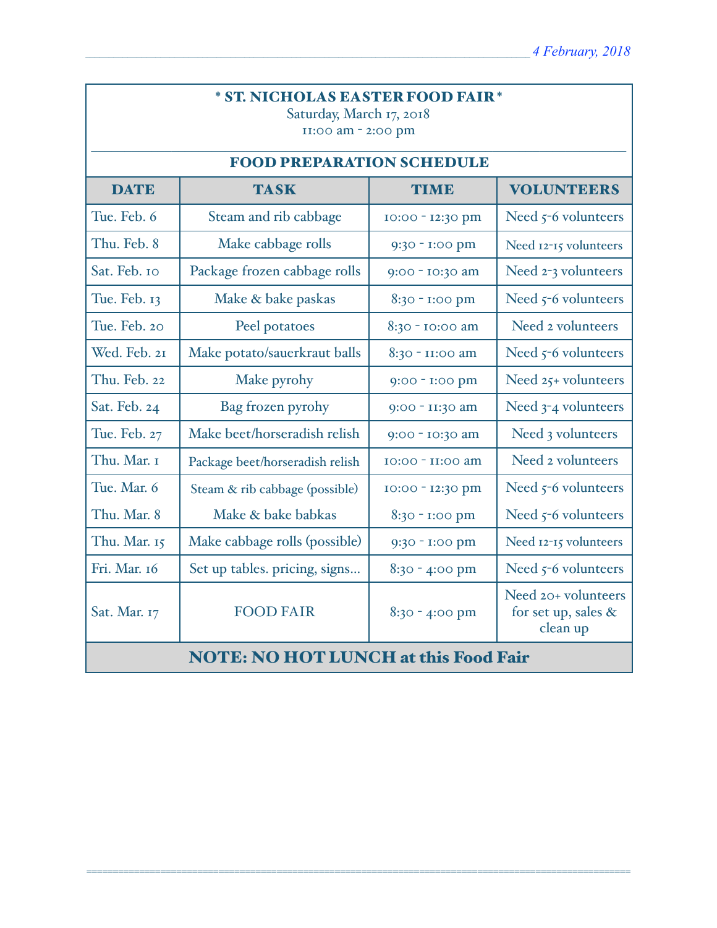# \* ST. NICHOLAS EASTER FOOD FAIR \*

Saturday, March 17, 2018 11:00 am - 2:00 pm

| <b>FOOD PREPARATION SCHEDULE</b>            |                                 |                  |                                                           |  |  |  |
|---------------------------------------------|---------------------------------|------------------|-----------------------------------------------------------|--|--|--|
| <b>DATE</b>                                 | <b>TASK</b>                     | <b>TIME</b>      | <b>VOLUNTEERS</b>                                         |  |  |  |
| Tue. Feb. 6                                 | Steam and rib cabbage           | 10:00 - 12:30 pm | Need $5-6$ volunteers                                     |  |  |  |
| Thu. Feb. 8                                 | Make cabbage rolls              | 9:30 - I:00 pm   | Need 12-15 volunteers                                     |  |  |  |
| Sat. Feb. 10                                | Package frozen cabbage rolls    | 9:00 - 10:30 am  | Need 2-3 volunteers                                       |  |  |  |
| Tue. Feb. 13                                | Make & bake paskas              | 8:30 - 1:00 pm   | Need 5-6 volunteers                                       |  |  |  |
| Tue. Feb. 20                                | Peel potatoes                   | 8:30 - 10:00 am  | Need 2 volunteers                                         |  |  |  |
| Wed. Feb. 21                                | Make potato/sauerkraut balls    | 8:30 - II:00 am  | Need $5-6$ volunteers                                     |  |  |  |
| Thu. Feb. 22                                | Make pyrohy                     | 9:00 - 1:00 pm   | Need 25+ volunteers                                       |  |  |  |
| Sat. Feb. 24                                | Bag frozen pyrohy               | 9:00 - II:30 am  | Need 3-4 volunteers                                       |  |  |  |
| Tue. Feb. 27                                | Make beet/horseradish relish    | 9:00 - 10:30 am  | Need 3 volunteers                                         |  |  |  |
| Thu. Mar. I                                 | Package beet/horseradish relish | 10:00 - II:00 am | Need 2 volunteers                                         |  |  |  |
| Tue. Mar. 6                                 | Steam & rib cabbage (possible)  | 10:00 - 12:30 pm | Need $5-6$ volunteers                                     |  |  |  |
| Thu. Mar. 8                                 | Make & bake babkas              | 8:30 - 1:00 pm   | Need 5-6 volunteers                                       |  |  |  |
| Thu. Mar. 15                                | Make cabbage rolls (possible)   | 9:30 - 1:00 pm   | Need 12-15 volunteers                                     |  |  |  |
| Fri. Mar. 16                                | Set up tables. pricing, signs   | $8:30 - 4:00$ pm | Need 5-6 volunteers                                       |  |  |  |
| Sat. Mar. 17                                | <b>FOOD FAIR</b>                | 8:30 - 4:00 pm   | Need 20+ volunteers<br>for set up, sales $\&$<br>clean up |  |  |  |
| <b>NOTE: NO HOT LUNCH at this Food Fair</b> |                                 |                  |                                                           |  |  |  |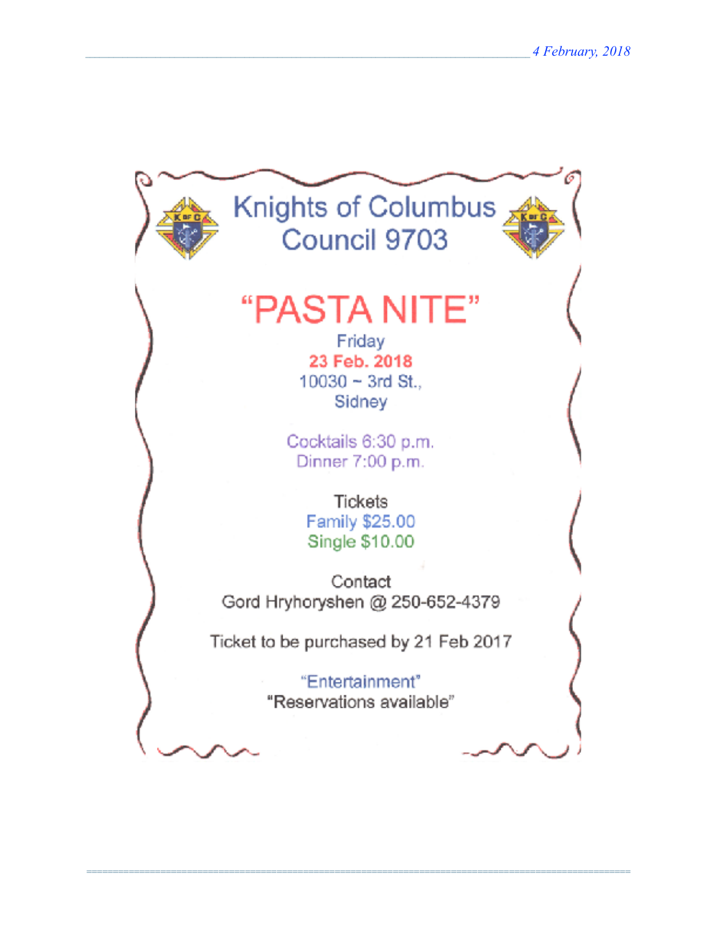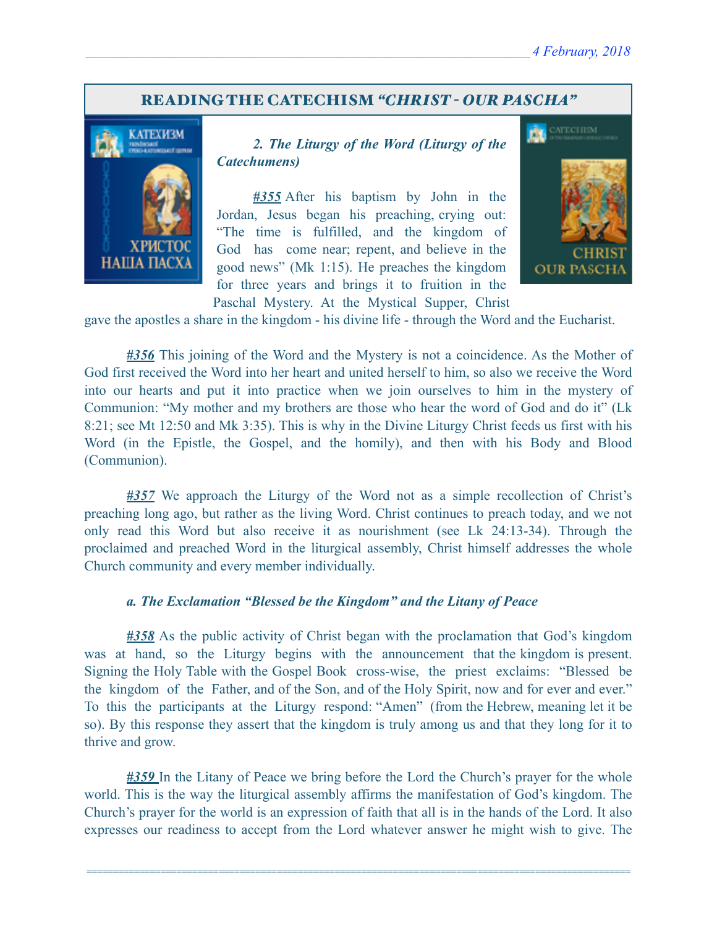### READING THE CATECHISM *"CHRIST - OUR PASCHA"*



 *2. The Liturgy of the Word (Liturgy of the Catechumens)*

*#355* After his baptism by John in the Jordan, Jesus began his preaching, crying out: "The time is fulfilled, and the kingdom of God has come near; repent, and believe in the good news" (Mk 1:15). He preaches the kingdom for three years and brings it to fruition in the Paschal Mystery. At the Mystical Supper, Christ



gave the apostles a share in the kingdom - his divine life - through the Word and the Eucharist.

*#356* This joining of the Word and the Mystery is not a coincidence. As the Mother of God first received the Word into her heart and united herself to him, so also we receive the Word into our hearts and put it into practice when we join ourselves to him in the mystery of Communion: "My mother and my brothers are those who hear the word of God and do it" (Lk 8:21; see Mt 12:50 and Mk 3:35). This is why in the Divine Liturgy Christ feeds us first with his Word (in the Epistle, the Gospel, and the homily), and then with his Body and Blood (Communion).

*#357* We approach the Liturgy of the Word not as a simple recollection of Christ's preaching long ago, but rather as the living Word. Christ continues to preach today, and we not only read this Word but also receive it as nourishment (see Lk 24:13-34). Through the proclaimed and preached Word in the liturgical assembly, Christ himself addresses the whole Church community and every member individually.

#### *a. The Exclamation "Blessed be the Kingdom" and the Litany of Peace*

*#358* As the public activity of Christ began with the proclamation that God's kingdom was at hand, so the Liturgy begins with the announcement that the kingdom is present. Signing the Holy Table with the Gospel Book cross-wise, the priest exclaims: "Blessed be the kingdom of the Father, and of the Son, and of the Holy Spirit, now and for ever and ever." To this the participants at the Liturgy respond: "Amen" (from the Hebrew, meaning let it be so). By this response they assert that the kingdom is truly among us and that they long for it to thrive and grow.

*#359* In the Litany of Peace we bring before the Lord the Church's prayer for the whole world. This is the way the liturgical assembly affirms the manifestation of God's kingdom. The Church's prayer for the world is an expression of faith that all is in the hands of the Lord. It also expresses our readiness to accept from the Lord whatever answer he might wish to give. The